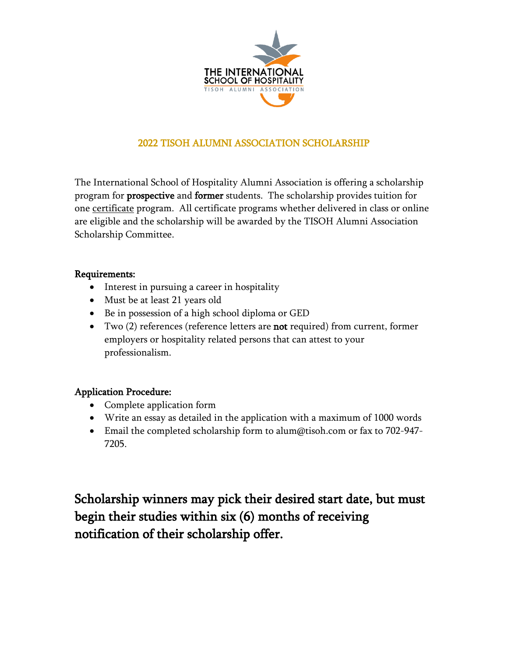

# 2022 TISOH ALUMNI ASSOCIATION SCHOLARSHIP

The International School of Hospitality Alumni Association is offering a scholarship program for **prospective** and **former** students. The scholarship provides tuition for one certificate program. All certificate programs whether delivered in class or online are eligible and the scholarship will be awarded by the TISOH Alumni Association Scholarship Committee.

### Requirements:

- Interest in pursuing a career in hospitality
- Must be at least 21 years old
- Be in possession of a high school diploma or GED
- Two (2) references (reference letters are **not** required) from current, former employers or hospitality related persons that can attest to your professionalism.

## Application Procedure:

- Complete application form
- Write an essay as detailed in the application with a maximum of 1000 words
- Email the completed scholarship form to alum@tisoh.com or fax to 702-947-7205.

Scholarship winners may pick their desired start date, but must begin their studies within six (6) months of receiving notification of their scholarship offer.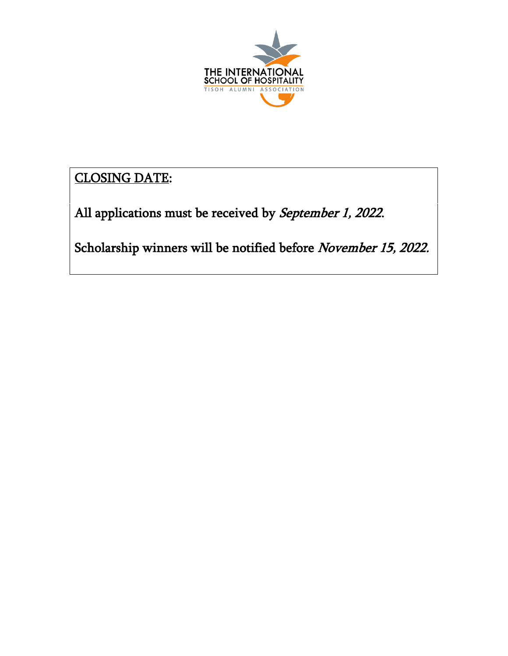

CLOSING DATE:

All applications must be received by September 1, 2022.

Scholarship winners will be notified before November 15, 2022.